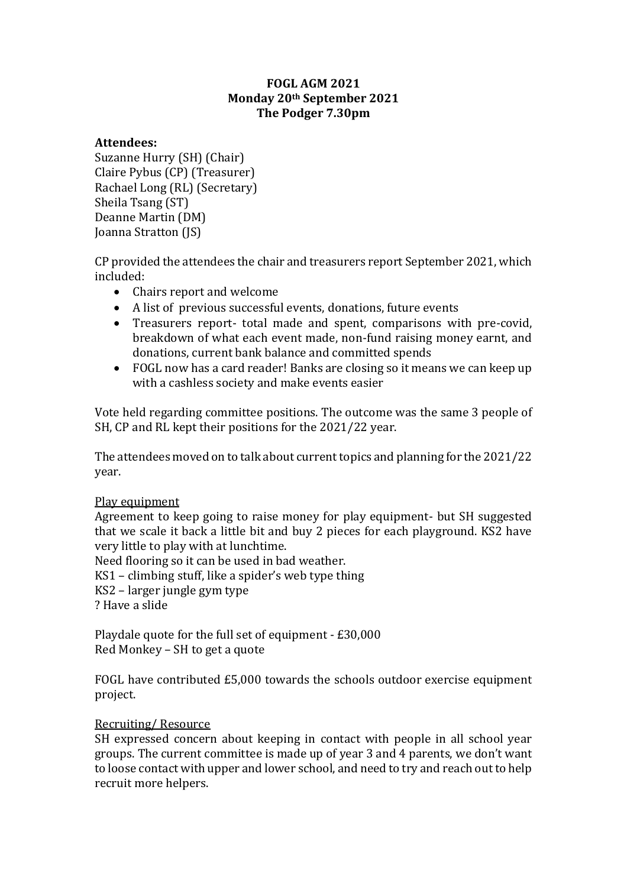# **FOGL AGM 2021 Monday 20th September 2021 The Podger 7.30pm**

### **Attendees:**

Suzanne Hurry (SH) (Chair) Claire Pybus (CP) (Treasurer) Rachael Long (RL) (Secretary) Sheila Tsang (ST) Deanne Martin (DM) Joanna Stratton (JS)

CP provided the attendees the chair and treasurers report September 2021, which included:

- Chairs report and welcome
- A list of previous successful events, donations, future events
- Treasurers report- total made and spent, comparisons with pre-covid, breakdown of what each event made, non-fund raising money earnt, and donations, current bank balance and committed spends
- FOGL now has a card reader! Banks are closing so it means we can keep up with a cashless society and make events easier

Vote held regarding committee positions. The outcome was the same 3 people of SH, CP and RL kept their positions for the 2021/22 year.

The attendees moved on to talk about current topics and planning for the 2021/22 year.

## Play equipment

Agreement to keep going to raise money for play equipment- but SH suggested that we scale it back a little bit and buy 2 pieces for each playground. KS2 have very little to play with at lunchtime.

Need flooring so it can be used in bad weather.

KS1 – climbing stuff, like a spider's web type thing

KS2 – larger jungle gym type

? Have a slide

Playdale quote for the full set of equipment - £30,000 Red Monkey – SH to get a quote

FOGL have contributed £5,000 towards the schools outdoor exercise equipment project.

## Recruiting/ Resource

SH expressed concern about keeping in contact with people in all school year groups. The current committee is made up of year 3 and 4 parents, we don't want to loose contact with upper and lower school, and need to try and reach out to help recruit more helpers.